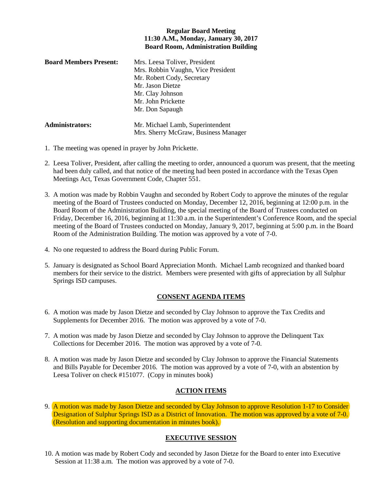### **Regular Board Meeting 11:30 A.M., Monday, January 30, 2017 Board Room, Administration Building**

| <b>Board Members Present:</b> | Mrs. Leesa Toliver, President        |
|-------------------------------|--------------------------------------|
|                               | Mrs. Robbin Vaughn, Vice President   |
|                               | Mr. Robert Cody, Secretary           |
|                               | Mr. Jason Dietze                     |
|                               | Mr. Clay Johnson                     |
|                               | Mr. John Prickette                   |
|                               | Mr. Don Sapaugh                      |
| <b>Administrators:</b>        | Mr. Michael Lamb, Superintendent     |
|                               | Mrs. Sherry McGraw, Business Manager |

- 1. The meeting was opened in prayer by John Prickette.
- 2. Leesa Toliver, President, after calling the meeting to order, announced a quorum was present, that the meeting had been duly called, and that notice of the meeting had been posted in accordance with the Texas Open Meetings Act, Texas Government Code, Chapter 551.
- 3. A motion was made by Robbin Vaughn and seconded by Robert Cody to approve the minutes of the regular meeting of the Board of Trustees conducted on Monday, December 12, 2016, beginning at 12:00 p.m. in the Board Room of the Administration Building, the special meeting of the Board of Trustees conducted on Friday, December 16, 2016, beginning at 11:30 a.m. in the Superintendent's Conference Room, and the special meeting of the Board of Trustees conducted on Monday, January 9, 2017, beginning at 5:00 p.m. in the Board Room of the Administration Building. The motion was approved by a vote of 7-0.
- 4. No one requested to address the Board during Public Forum.
- 5. January is designated as School Board Appreciation Month. Michael Lamb recognized and thanked board members for their service to the district. Members were presented with gifts of appreciation by all Sulphur Springs ISD campuses.

### **CONSENT AGENDA ITEMS**

- 6. A motion was made by Jason Dietze and seconded by Clay Johnson to approve the Tax Credits and Supplements for December 2016. The motion was approved by a vote of 7-0.
- 7. A motion was made by Jason Dietze and seconded by Clay Johnson to approve the Delinquent Tax Collections for December 2016. The motion was approved by a vote of 7-0.
- 8. A motion was made by Jason Dietze and seconded by Clay Johnson to approve the Financial Statements and Bills Payable for December 2016. The motion was approved by a vote of 7-0, with an abstention by Leesa Toliver on check #151077. (Copy in minutes book)

### **ACTION ITEMS**

9. A motion was made by Jason Dietze and seconded by Clay Johnson to approve Resolution 1-17 to Consider Designation of Sulphur Springs ISD as a District of Innovation. The motion was approved by a vote of 7-0. (Resolution and supporting documentation in minutes book).

# **EXECUTIVE SESSION**

10. A motion was made by Robert Cody and seconded by Jason Dietze for the Board to enter into Executive Session at 11:38 a.m. The motion was approved by a vote of 7-0.